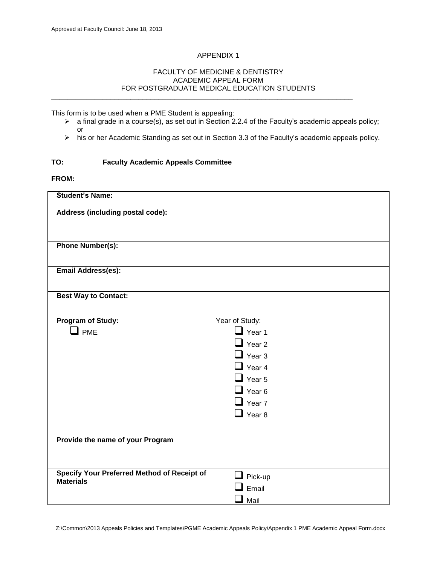# APPENDIX 1

#### FACULTY OF MEDICINE & DENTISTRY ACADEMIC APPEAL FORM FOR POSTGRADUATE MEDICAL EDUCATION STUDENTS **\_\_\_\_\_\_\_\_\_\_\_\_\_\_\_\_\_\_\_\_\_\_\_\_\_\_\_\_\_\_\_\_\_\_\_\_\_\_\_\_\_\_\_\_\_\_\_\_\_\_\_\_\_\_\_\_\_\_\_\_\_\_\_\_\_\_\_\_\_\_\_\_\_\_\_\_**

This form is to be used when a PME Student is appealing:

- a final grade in a course(s), as set out in Section 2.2.4 of the Faculty's academic appeals policy; or
- his or her Academic Standing as set out in Section 3.3 of the Faculty's academic appeals policy.

#### **TO: Faculty Academic Appeals Committee**

**FROM:**

| <b>Student's Name:</b>                                          |                                                                                                                                                        |
|-----------------------------------------------------------------|--------------------------------------------------------------------------------------------------------------------------------------------------------|
| Address (including postal code):                                |                                                                                                                                                        |
| <b>Phone Number(s):</b>                                         |                                                                                                                                                        |
| <b>Email Address(es):</b>                                       |                                                                                                                                                        |
| <b>Best Way to Contact:</b>                                     |                                                                                                                                                        |
| Program of Study:<br>$\Box$ PME                                 | Year of Study:<br>$\Box$ Year 1<br>$\Box$ Year 2<br>$\Box$ Year 3<br>$\Box$ Year 4<br>$\Box$ Year 5<br>$\Box$ Year 6<br>$\Box$ Year 7<br>$\Box$ Year 8 |
| Provide the name of your Program                                |                                                                                                                                                        |
|                                                                 |                                                                                                                                                        |
| Specify Your Preferred Method of Receipt of<br><b>Materials</b> | $\blacksquare$ Pick-up<br>Email<br>Mail                                                                                                                |

Z:\Common\2013 Appeals Policies and Templates\PGME Academic Appeals Policy\Appendix 1 PME Academic Appeal Form.docx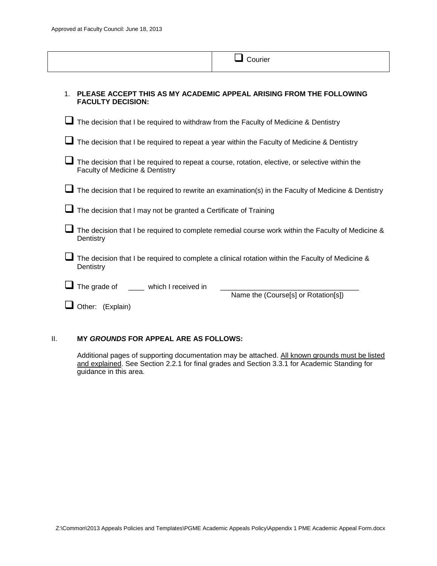|                                                                                      | Courier                                                                                             |
|--------------------------------------------------------------------------------------|-----------------------------------------------------------------------------------------------------|
| 1 <sub>1</sub><br><b>FACULTY DECISION:</b>                                           | PLEASE ACCEPT THIS AS MY ACADEMIC APPEAL ARISING FROM THE FOLLOWING                                 |
| The decision that I be required to withdraw from the Faculty of Medicine & Dentistry |                                                                                                     |
|                                                                                      | The decision that I be required to repeat a year within the Faculty of Medicine & Dentistry         |
| Faculty of Medicine & Dentistry                                                      | The decision that I be required to repeat a course, rotation, elective, or selective within the     |
|                                                                                      | The decision that I be required to rewrite an examination(s) in the Faculty of Medicine & Dentistry |
| The decision that I may not be granted a Certificate of Training                     |                                                                                                     |
| Dentistry                                                                            | The decision that I be required to complete remedial course work within the Faculty of Medicine &   |
| Dentistry                                                                            | The decision that I be required to complete a clinical rotation within the Faculty of Medicine &    |
| The grade of<br>which I received in<br>Other: (Explain)                              | Name the (Course[s] or Rotation[s])                                                                 |

### II. **MY** *GROUNDS* **FOR APPEAL ARE AS FOLLOWS:**

Additional pages of supporting documentation may be attached. All known grounds must be listed and explained. See Section 2.2.1 for final grades and Section 3.3.1 for Academic Standing for guidance in this area.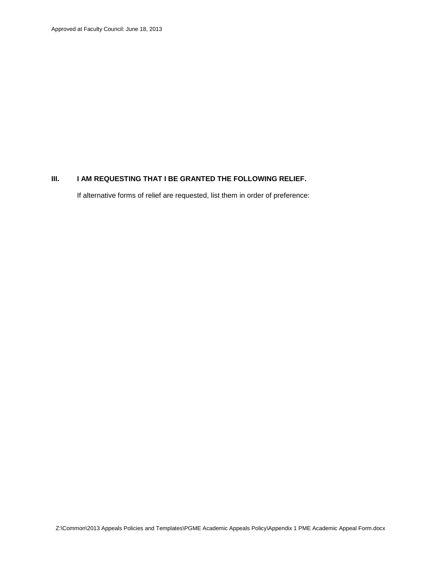# **III. I AM REQUESTING THAT I BE GRANTED THE FOLLOWING RELIEF.**

If alternative forms of relief are requested, list them in order of preference: